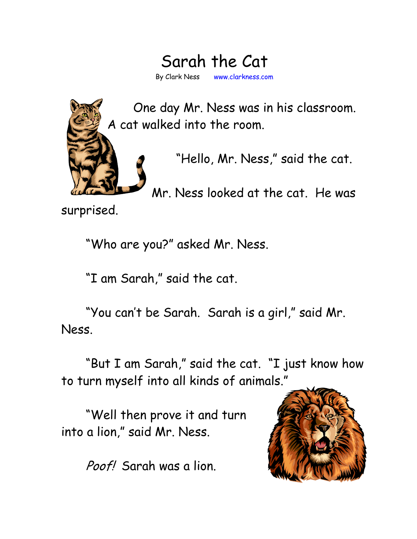## Sarah the Cat By Clark Ness www.clarkness.com



One day Mr. Ness was in his classroom. A cat walked into the room.

"Hello, Mr. Ness," said the cat.

Mr. Ness looked at the cat. He was

surprised.

"Who are you?" asked Mr. Ness.

"I am Sarah," said the cat.

"You can't be Sarah. Sarah is a girl," said Mr. Ness.

"But I am Sarah," said the cat. "I just know how to turn myself into all kinds of animals."

"Well then prove it and turn into a lion," said Mr. Ness.

Poof! Sarah was a lion.

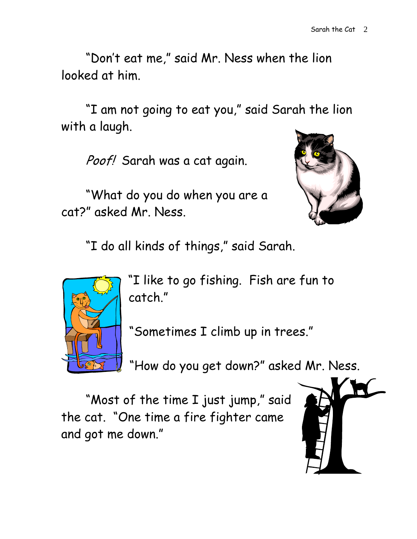"Don't eat me," said Mr. Ness when the lion looked at him.

"I am not going to eat you," said Sarah the lion with a laugh.

Poof! Sarah was a cat again.

"What do you do when you are a cat?" asked Mr. Ness.



"I do all kinds of things," said Sarah.



"I like to go fishing. Fish are fun to catch."

"Sometimes I climb up in trees."

"How do you get down?" asked Mr. Ness.

"Most of the time I just jump," said the cat. "One time a fire fighter came and got me down."

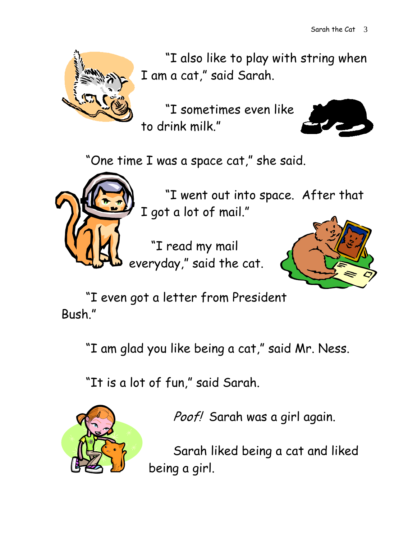

"I also like to play with string when I am a cat," said Sarah.

"I sometimes even like to drink milk."



"One time I was a space cat," she said.



"I went out into space. After that I got a lot of mail."

"I read my mail everyday," said the cat.



"I even got a letter from President Bush."

"I am glad you like being a cat," said Mr. Ness.

"It is a lot of fun," said Sarah.



Poof! Sarah was a girl again.

Sarah liked being a cat and liked being a girl.